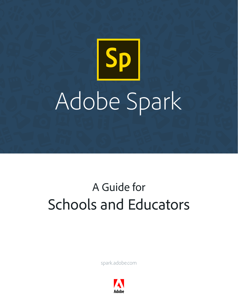# Sp Adobe Spark

# A Guide for Schools and Educators

spark.adobe.com

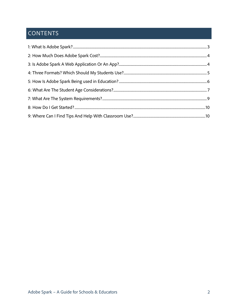## **CONTENTS**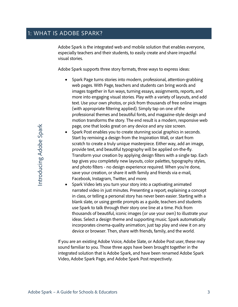<span id="page-2-0"></span>Adobe Spark is the integrated web and mobile solution that enables everyone, especially teachers and their students, to easily create and share impactful visual stories.

Adobe Spark supports three story formats, three ways to express ideas:

- Spark Page turns stories into modern, professional, attention-grabbing web pages. With Page, teachers and students can bring words and images together in fun ways, turning essays, assignments, reports, and more into engaging visual stories. Play with a variety of layouts, and add text. Use your own photos, or pick from thousands of free online images (with appropriate filtering applied). Simply tap on one of the professional themes and beautiful fonts, and magazine-style design and motion transforms the story. The end result is a modern, responsive web page, one that looks great on any device and any size screen.
- Spark Post enables you to create stunning social graphics in seconds. Start by remixing a design from the Inspiration Wall, or start from scratch to create a truly unique masterpiece. Either way, add an image, provide text, and beautiful typography will be applied on-the-fly. Transform your creation by applying design filters with a single tap. Each tap gives you completely new layouts, color palettes, typography styles, and photo filters - no design experience required. When you're done, save your creation, or share it with family and friends via e-mail, Facebook, Instagram, Twitter, and more.
- Spark Video lets you turn your story into a captivating animated narrated video in just minutes. Presenting a report, explaining a concept in class, or telling a personal story has never been easier. Starting with a blank slate, or using gentle prompts as a guide, teachers and students use Spark to talk through their story one line at a time. Pick from thousands of beautiful, iconic images (or use your own) to illustrate your ideas. Select a design theme and supporting music. Spark automatically incorporates cinema-quality animation; just tap play and view it on any device or browser. Then, share with friends, family, and the world.

If you are an existing Adobe Voice, Adobe Slate, or Adobe Post user, these may sound familiar to you. Those three apps have been brought together in the integrated solution that is Adobe Spark, and have been renamed Adobe Spark Video, Adobe Spark Page, and Adobe Spark Post respectively.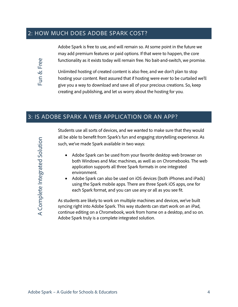#### <span id="page-3-0"></span>2: HOW MUCH DOES ADOBE SPARK COST?



Adobe Spark is free to use, and will remain so. At some point in the future we may add premium features or paid options. If that were to happen, the core functionality as it exists today will remain free. No bait-and-switch, we promise.

Unlimited hosting of created content is also free, and we don't plan to stop hosting your content. Rest assured that if hosting were ever to be curtailed we'll give you a way to download and save all of your precious creations. So, keep creating and publishing, and let us worry about the hosting for you.

#### <span id="page-3-1"></span>3: IS ADOBE SPARK A WEB APPLICATION OR AN APP?

Students use all sorts of devices, and we wanted to make sure that they would all be able to benefit from Spark's fun and engaging storytelling experience. As such, we've made Spark available in two ways:

- Adobe Spark can be used from your favorite desktop web browser on both Windows and Mac machines, as well as on Chromebooks. The web application supports all three Spark formats in one integrated environment.
- Adobe Spark can also be used on iOS devices (both iPhones and iPads) using the Spark mobile apps. There are three Spark iOS apps, one for each Spark format, and you can use any or all as you see fit.

As students are likely to work on multiple machines and devices, we've built syncing right into Adobe Spark. This way students can start work on an iPad, continue editing on a Chromebook, work from home on a desktop, and so on. Adobe Spark truly is a complete integrated solution.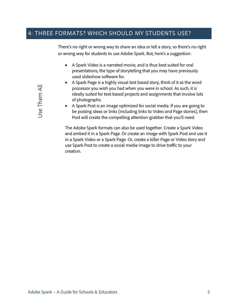#### <span id="page-4-0"></span>4: THREE FORMATS? WHICH SHOULD MY STUDENTS USE?

There's no right or wrong way to share an idea or tell a story, so there's no right or wrong way for students to use Adobe Spark. But, here's a suggestion:

- A Spark Video is a narrated movie, and is thus best suited for oral presentations, the type of storytelling that you may have previously used slideshow software for.
- A Spark Page is a highly visual text based story, think of it as the word processor you wish you had when you were in school. As such, it is ideally suited for text-based projects and assignments that involve lots of photographs.
- A Spark Post is an image optimized for social media. If you are going to be posting ideas or links (including links to Video and Page stories), then Post will create the compelling attention-grabber that you'll need.

The Adobe Spark formats can also be used together. Create a Spark Video and embed it in a Spark Page. Or create an image with Spark Post and use it in a Spark Video or a Spark Page. Or, create a killer Page or Video story and use Spark Post to create a social media image to drive traffic to your creation.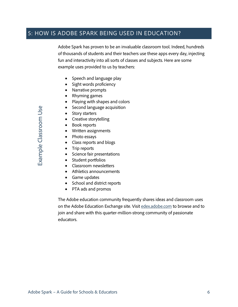#### <span id="page-5-0"></span>5: HOW IS ADOBE SPARK BEING USED IN EDUCATION?

Adobe Spark has proven to be an invaluable classroom tool. Indeed, hundreds of thousands of students and their teachers use these apps every day, injecting fun and interactivity into all sorts of classes and subjects. Here are some example uses provided to us by teachers:

- Speech and language play
- Sight words proficiency
- Narrative prompts
- Rhyming games
- Playing with shapes and colors
- Second language acquisition
- Story starters
- Creative storytelling
- Book reports
- Written assignments
- Photo essays
- Class reports and blogs
- Trip reports
- Science fair presentations
- Student portfolios
- Classroom newsletters
- Athletics announcements
- Game updates
- School and district reports
- PTA ads and promos

The Adobe education community frequently shares ideas and classroom uses on the Adobe Education Exchange site. Visit [edex.adobe.com](https://edex.adobe.com/) to browse and to join and share with this quarter-million-strong community of passionate educators.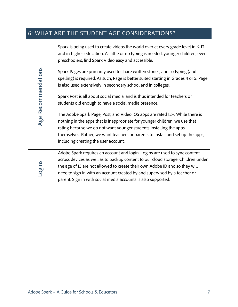#### <span id="page-6-0"></span>6: WHAT ARE THE STUDENT AGE CONSIDERATIONS?

Spark is being used to create videos the world over at every grade level in K-12 and in higher-education. As little or no typing is needed, younger children, even preschoolers, find Spark Video easy and accessible.

Spark Pages are primarily used to share written stories, and so typing (and spelling) is required. As such, Page is better suited starting in Grades 4 or 5. Page is also used extensively in secondary school and in colleges.

Spark Post is all about social media, and is thus intended for teachers or students old enough to have a social media presence.

The Adobe Spark Page, Post, and Video iOS apps are rated 12+. While there is nothing in the apps that is inappropriate for younger children, we use that rating because we do not want younger students installing the apps themselves. Rather, we want teachers or parents to install and set up the apps, including creating the user account.



Adobe Spark requires an account and login. Logins are used to sync content across devices as well as to backup content to our cloud storage. Children under the age of 13 are not allowed to create their own Adobe ID and so they will need to sign in with an account created by and supervised by a teacher or parent. Sign in with social media accounts is also supported.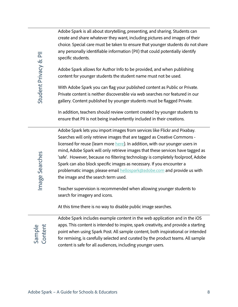Adobe Spark is all about storytelling, presenting, and sharing. Students can create and share whatever they want, including pictures and images of their choice. Special care must be taken to ensure that younger students do not share any personally identifiable information (PII) that could potentially identify specific students.

Adobe Spark allows for Author Info to be provided, and when publishing content for younger students the student name must not be used.

With Adobe Spark you can flag your published content as Public or Private. Private content is neither discoverable via web searches nor featured in our gallery. Content published by younger students must be flagged Private.

In addition, teachers should review content created by younger students to ensure that PII is not being inadvertently included in their creations.

αποιείται που πολειτου πολειτου πολειτου πολειτου πολειτου πολειτου πολειτου πολειτου πολειτου πολειτου πολειτου πολειτου πολειτου πολειτου πολειτου πολειτου πολειτου πολειτου πολειτου πολειτου πολειτου πολειτου πολειτου Adobe Spark lets you import images from services like Flickr and Pixabay. Searches will only retrieve images that are tagged as Creative Commons licensed for reuse (learn more [here\)](http://www.adobe.com/go/usagerights). In addition, with our younger users in mind, Adobe Spark will only retrieve images that these services have tagged as 'safe'. However, because no filtering technology is completely foolproof, Adobe Spark can also block specific images as necessary. If you encounter a problematic image, please email [hellospark@adobe.com](mailto:hellospark@adobe.com) and provide us with the image and the search term used.

Teacher supervision is recommended when allowing younger students to search for imagery and icons.

At this time there is no way to disable public image searches.

# Sample **Content**

Image Searches

Adobe Spark includes example content in the web application and in the iOS apps. This content is intended to inspire, spark creativity, and provide a starting point when using Spark Post. All sample content, both inspirational or intended for remixing, is carefully selected and curated by the product teams. All sample content is safe for all audiences, including younger users.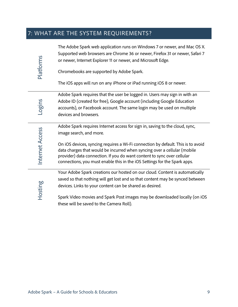### <span id="page-8-0"></span>7: WHAT ARE THE SYSTEM REQUIREMENTS?

| Platforms      | The Adobe Spark web application runs on Windows 7 or newer, and Mac OS X.<br>Supported web browsers are Chrome 36 or newer, Firefox 31 or newer, Safari 7<br>or newer, Internet Explorer 11 or newer, and Microsoft Edge.<br>Chromebooks are supported by Adobe Spark.<br>The iOS apps will run on any iPhone or iPad running iOS 8 or newer. |
|----------------|-----------------------------------------------------------------------------------------------------------------------------------------------------------------------------------------------------------------------------------------------------------------------------------------------------------------------------------------------|
| -ogins         | Adobe Spark requires that the user be logged in. Users may sign in with an                                                                                                                                                                                                                                                                    |
|                | Adobe ID (created for free), Google account (including Google Education                                                                                                                                                                                                                                                                       |
|                | accounts), or Facebook account. The same login may be used on multiple<br>devices and browsers.                                                                                                                                                                                                                                               |
|                |                                                                                                                                                                                                                                                                                                                                               |
| nternet Access | Adobe Spark requires Internet access for sign in, saving to the cloud, sync,                                                                                                                                                                                                                                                                  |
|                | image search, and more.                                                                                                                                                                                                                                                                                                                       |
|                | On iOS devices, syncing requires a Wi-Fi connection by default. This is to avoid                                                                                                                                                                                                                                                              |
|                | data charges that would be incurred when syncing over a cellular (mobile                                                                                                                                                                                                                                                                      |
|                | provider) data connection. If you do want content to sync over cellular                                                                                                                                                                                                                                                                       |
|                | connections, you must enable this in the iOS Settings for the Spark apps.                                                                                                                                                                                                                                                                     |
|                | Your Adobe Spark creations our hosted on our cloud. Content is automatically                                                                                                                                                                                                                                                                  |
| Hosting        | saved so that nothing will get lost and so that content may be synced between                                                                                                                                                                                                                                                                 |
|                | devices. Links to your content can be shared as desired.                                                                                                                                                                                                                                                                                      |
|                | Spark Video movies and Spark Post images may be downloaded locally (on iOS                                                                                                                                                                                                                                                                    |
|                | these will be saved to the Camera Roll).                                                                                                                                                                                                                                                                                                      |
|                |                                                                                                                                                                                                                                                                                                                                               |